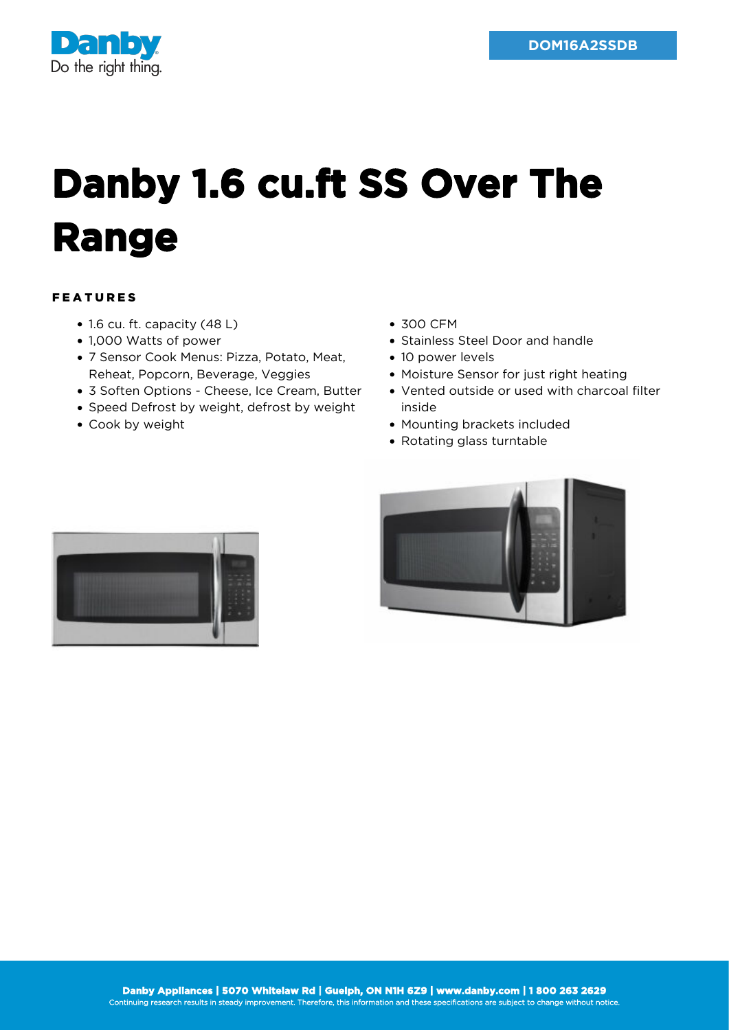

## **Danby 1.6 cu.ft SS Over The Range**

## FEATURES

- 1.6 cu. ft. capacity (48 L)
- 1,000 Watts of power
- 7 Sensor Cook Menus: Pizza, Potato, Meat, Reheat, Popcorn, Beverage, Veggies
- 3 Soften Options Cheese, Ice Cream, Butter
- Speed Defrost by weight, defrost by weight
- Cook by weight
- 300 CFM
- Stainless Steel Door and handle
- 10 power levels
- Moisture Sensor for just right heating
- Vented outside or used with charcoal filter inside
- Mounting brackets included
- Rotating glass turntable